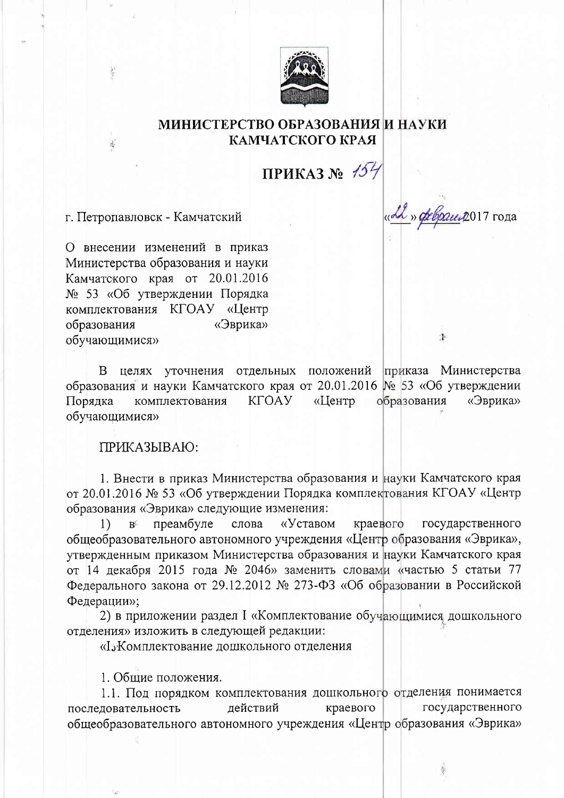

## МИНИСТЕРСТВО ОБРАЗОВАНИЯ И НАУКИ КАМЧАТСКОГО КРАЯ

ПРИКАЗ №  $154$ 

«Ал» феврант 2017 года

 $\mathbf{F}$ 

г. Петропавловск - Камчатский

 $\frac{1}{2}$ 

О внесении изменений в приказ Министерства образования и науки Камчатского края от 20.01.2016 № 53 «Об утверждении Порядка комплектования КГОАУ «Центр образования «Эврика» обучающимися»

целях уточнения отдельных положений приказа Министерства B. образования и науки Камчатского края от 20.01.2016 № 53 «Об утверждении **KFOAY** «Центр образования «Эврика» Порядка комплектования обучающимися»

ПРИКАЗЫВАЮ:

1. Внести в приказ Министерства образования и науки Камчатского края от 20.01.2016 № 53 «Об утверждении Порядка комплектования КГОАУ «Центр образования «Эврика» следующие изменения:

преамбуле слова «Уставом краевого государственного  $\left\{ \right\}$  $B^{\mathbb{C}}$ общеобразовательного автономного учреждения «Центр образования «Эврика», утвержденным приказом Министерства образования и науки Камчатского края от 14 декабря 2015 года № 2046» заменить словами «частью 5 статьи 77 Федерального закона от 29.12.2012 № 273-ФЗ «Об образовании в Российской Федерации»;

2) в приложении раздел I «Комплектование обучающимися дошкольного отделения» изложить в следующей редакции:

«І "Комплектование дошкольного отделения

1. Общие положения.

1.1. Под порядком комплектования дошкольного отделения понимается государственного последовательность действий краевого общеобразовательного автономного учреждения «Центр образования «Эврика»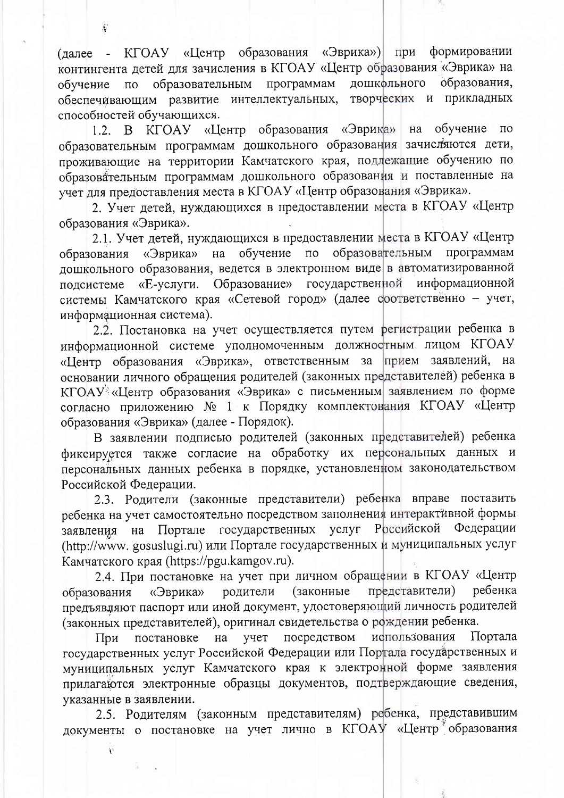(далее - КГОАУ «Центр образования «Эврика») при формировании контингента детей для зачисления в КГОАУ «Центр образования «Эврика» на обучение по образовательным программам дошкольного образования, обеспечивающим развитие интеллектуальных, творческих и прикладных способностей обучающихся.

1.2. В КГОАУ «Центр образования «Эврика» на обучение  $\overline{10}$ образовательным программам дошкольного образования зачисляются дети, проживающие на территории Камчатского края, подлежащие обучению по образовательным программам дошкольного образования и поставленные на учет для предоставления места в КГОАУ «Центр образования «Эврика».

2. Учет детей, нуждающихся в предоставлении места в КГОАУ «Центр образования «Эврика».

2.1. Учет детей, нуждающихся в предоставлении места в КГОАУ «Центр обучение по образовательным программам образования «Эврика» на дошкольного образования, ведется в электронном виде в автоматизированной подсистеме «Е-услуги. Образование» государственной информационной системы Камчатского края «Сетевой город» (далее соответственно - учет, информационная система).

2.2. Постановка на учет осуществляется путем регистрации ребенка в информационной системе уполномоченным должностным лицом КГОАУ «Пентр образования «Эврика», ответственным за прием заявлений, на основании личного обращения родителей (законных представителей) ребенка в КГОАУ «Центр образования «Эврика» с письменным заявлением по форме согласно приложению № 1 к Порядку комплектования КГОАУ «Центр образования «Эврика» (далее - Порядок).

В заявлении подписью родителей (законных представителей) ребенка фиксируется также согласие на обработку их персональных данных и персональных данных ребенка в порядке, установленном законодательством Российской Федерации.

2.3. Родители (законные представители) ребенка вправе поставить ребенка на учет самостоятельно посредством заполнения интерактивной формы заявления на Портале государственных услуг Российской Федерации (http://www.gosuslugi.ru) или Портале государственных и муниципальных услуг Камчатского края (https://pgu.kamgov.ru).

2.4. При постановке на учет при личном обращении в КГОАУ «Центр родители (законные представители) ребенка «Эврика» образования предъявляют паспорт или иной документ, удостоверяющий личность родителей (законных представителей), оригинал свидетельства о рождении ребенка.

постановке на учет посредством использования Портала При государственных услуг Российской Федерации или Портала государственных и муниципальных услуг Камчатского края к электронной форме заявления прилагаются электронные образцы документов, подтверждающие сведения, указанные в заявлении.

2.5. Родителям (законным представителям) ребенка, представившим документы о постановке на учет лично в КГОАУ «Центр бразования

 $\ell$ 

 $\mathbf{v}$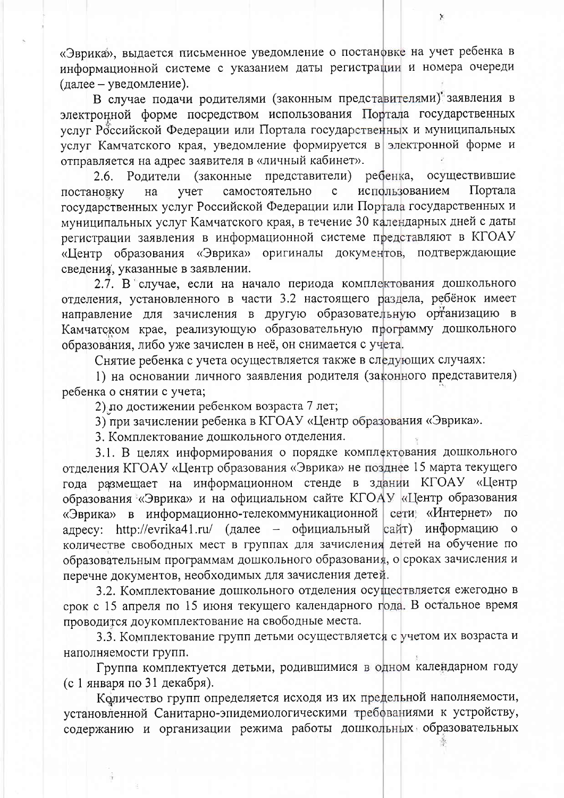«Эврика», выдается письменное уведомление о постановке на учет ребенка в информационной системе с указанием даты регистрации и номера очереди (далее - уведомление).

В случае подачи родителями (законным представителями) заявления в электронной форме посредством использования Портала государственных услуг Российской Федерации или Портала государственных и муниципальных услуг Камчатского края, уведомление формируется в электронной форме и отправляется на адрес заявителя в «личный кабинет».

Родители (законные представители) ребенка, осуществившие  $2.6.$ использованием Портала учет самостоятельно  $\mathbf{C}$ постановку на государственных услуг Российской Федерации или Портала государственных и муниципальных услуг Камчатского края, в течение 30 календарных дней с даты регистрации заявления в информационной системе представляют в КГОАУ «Центр образования «Эврика» оригиналы документов, подтверждающие сведения, указанные в заявлении.

2.7. В случае, если на начало периода комплектования дошкольного отделения, установленного в части 3.2 настоящего раздела, ребёнок имеет направление для зачисления в другую образовательную ортанизацию в Камчатском крае, реализующую образовательную программу дошкольного образования, либо уже зачислен в неё, он снимается с учета.

Снятие ребенка с учета осуществляется также в следующих случаях:

1) на основании личного заявления родителя (законного представителя) ребенка о снятии с учета;

2) по достижении ребенком возраста 7 лет;

3) при зачислении ребенка в КГОАУ «Центр образования «Эврика».

3. Комплектование дошкольного отделения.

3.1. В целях информирования о порядке комплектования дошкольного отделения КГОАУ «Центр образования «Эврика» не позднее 15 марта текущего года размещает на информационном стенде в здании КГОАУ «Центр образования «Эврика» и на официальном сайте КГОАУ «Центр образования «Эврика» в информационно-телекоммуникационной сети «Интернет» по адресу: http://evrika41.ru/ (далее - официальный сайт) информацию о количестве свободных мест в группах для зачисления детей на обучение по образовательным программам дошкольного образования, о сроках зачисления и перечне документов, необходимых для зачисления детей.

3.2. Комплектование дошкольного отделения осуществляется ежегодно в срок с 15 апреля по 15 июня текущего календарного года. В остальное время проводится доукомплектование на свободные места.

3.3. Комплектование групп детьми осуществляется с учетом их возраста и наполняемости групп.

Группа комплектуется детьми, родившимися в одном календарном году (с 1 января по 31 декабря).

Количество групп определяется исходя из их предельной наполняемости, установленной Санитарно-эпидемиологическими требованиями к устройству, содержанию и организации режима работы дошкольных образовательных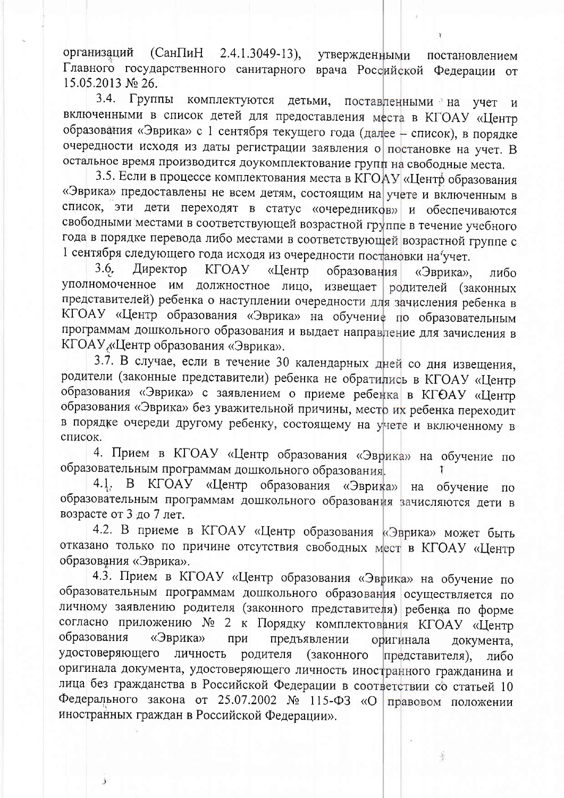(СанПиН 2.4.1.3049-13), утвержденными организаций постановлением Главного государственного санитарного врача Российской Федерации от 15.05.2013 № 26.

3.4. Группы комплектуются детьми, поставленными на учет и включенными в список детей для предоставления места в КГОАУ «Центр образования «Эврика» с 1 сентября текущего года (далее - список), в порядке очередности исходя из даты регистрации заявления о постановке на учет. В остальное время производится доукомплектование групп на свободные места.

3.5. Если в процессе комплектования места в КГОАУ «Центр образования «Эврика» предоставлены не всем детям, состоящим на учете и включенным в список, эти дети переходят в статус «очередников» и обеспечиваются свободными местами в соответствующей возрастной группе в течение учебного года в порядке перевода либо местами в соответствующей возрастной группе с 1 сентября следующего года исходя из очередности постановки на учет.

Директор **KFOAY**  $3.6.$ «Центр образования «Эврика», либо уполномоченное им должностное лицо, извещает родителей (законных представителей) ребенка о наступлении очередности для зачисления ребенка в КГОАУ «Центр образования «Эврика» на обучение по образовательным программам дошкольного образования и выдает направление для зачисления в КГОАУ «Центр образования «Эврика».

3.7. В случае, если в течение 30 календарных дней со дня извещения, родители (законные представители) ребенка не обратились в КГОАУ «Центр образования «Эврика» с заявлением о приеме ребенка в КГОАУ «Центр образования «Эврика» без уважительной причины, местр их ребенка переходит в порядке очереди другому ребенку, состоящему на учете и включенному в список.

4. Прием в КГОАУ «Центр образования «Эврика» на обучение по образовательным программам дошкольного образования.

4.1. В КГОАУ «Центр образования «Эврика» на обучение  $\overline{110}$ образовательным программам дошкольного образования зачисляются дети в возрасте от 3 до 7 лет.

4.2. В приеме в КГОАУ «Центр образования «Эврика» может быть отказано только по причине отсутствия свободных мест в КГОАУ «Центр образования «Эврика».

4.3. Прием в КГОАУ «Центр образования «Эврика» на обучение по образовательным программам дошкольного образования осуществляется по личному заявлению родителя (законного представителя) ребенка по форме согласно приложению № 2 к Порядку комплектования КГОАУ «Центр образования «Эврика» предъявлении оригинала при документа, удостоверяющего личность родителя (законного представителя), либо оригинала документа, удостоверяющего личность иностранного гражданина и лица без гражданства в Российской Федерации в соответствии со статьей 10 Федерального закона от 25.07.2002 № 115-ФЗ «О правовом положении иностранных граждан в Российской Федерации».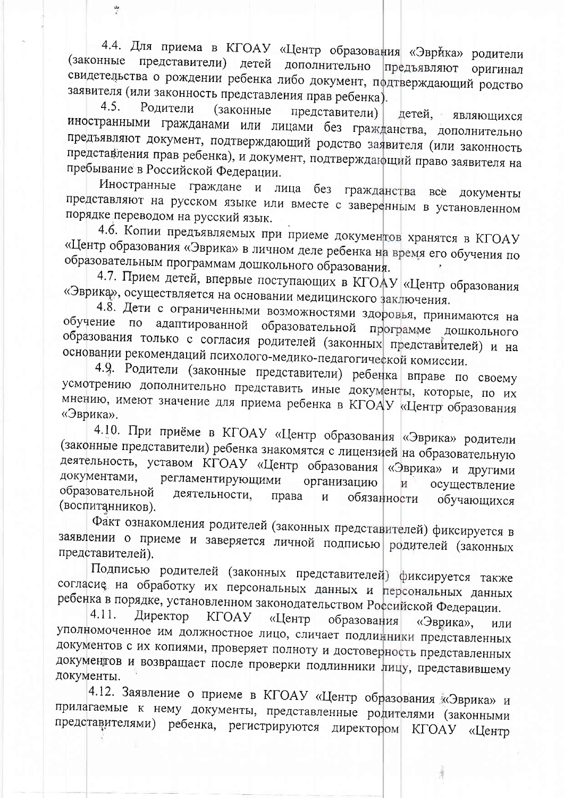4.4. Для приема в КГОАУ «Центр образования «Эврйка» родители (законные представители) детей дополнительно предъявляют оригинал свидетельства о рождении ребенка либо документ, подтверждающий родство заявителя (или законность представления прав ребенка).

 $4.5.$ Родители (законные представители) детей, являющихся иностранными гражданами или лицами без гражданства, дополнительно предъявляют документ, подтверждающий родство заявителя (или законность представления прав ребенка), и документ, подтверждающий право заявителя на пребывание в Российской Федерации.

Иностранные граждане и лица без гражданства все документы представляют на русском языке или вместе с заверенным в установленном порядке переводом на русский язык.

4.6. Копии предъявляемых при приеме документов хранятся в КГОАУ «Центр образования «Эврика» в личном деле ребенка на время его обучения по образовательным программам дошкольного образования.

4.7. Прием детей, впервые поступающих в КГОАУ «Центр образования «Эврика», осуществляется на основании медицинского заключения.

4.8. Дети с ограниченными возможностями здоровья, принимаются на обучение по адаптированной образовательной программе дошкольного образования только с согласия родителей (законных представителей) и на основании рекомендаций психолого-медико-педагогической комиссии.

4.9. Родители (законные представители) ребенка вправе по своему усмотрению дополнительно представить иные документы, которые, по их мнению, имеют значение для приема ребенка в КГОАУ «Центр образования «Эврика».

4.10. При приёме в КГОАУ «Центр образования «Эврика» родители (законные представители) ребенка знакомятся с лицензией на образовательную деятельность, уставом КГОАУ «Центр образования «Эврика» и другими документами, регламентирующими организацию и осуществление образовательной деятельности, права обязанности И обучающихся (воспитанников).

Факт ознакомления родителей (законных представителей) фиксируется в заявлении о приеме и заверяется личной подписью родителей (законных представителей).

Подписью родителей (законных представителей) фиксируется также согласие на обработку их персональных данных и персональных данных ребенка в порядке, установленном законодательством Российской Федерации.

4.11. Директор **KFOAY** «Центр образования «Эврика», ИЛИ уполномоченное им должностное лицо, сличает подлинники представленных документов с их копиями, проверяет полноту и достоверность представленных документов и возвращает после проверки подлинники лицу, представившему документы.

4.12. Заявление о приеме в КГОАУ «Центр образования «Эврика» и прилагаемые к нему документы, представленные родителями (законными представителями) ребенка, регистрируются директором КГОАУ «Центр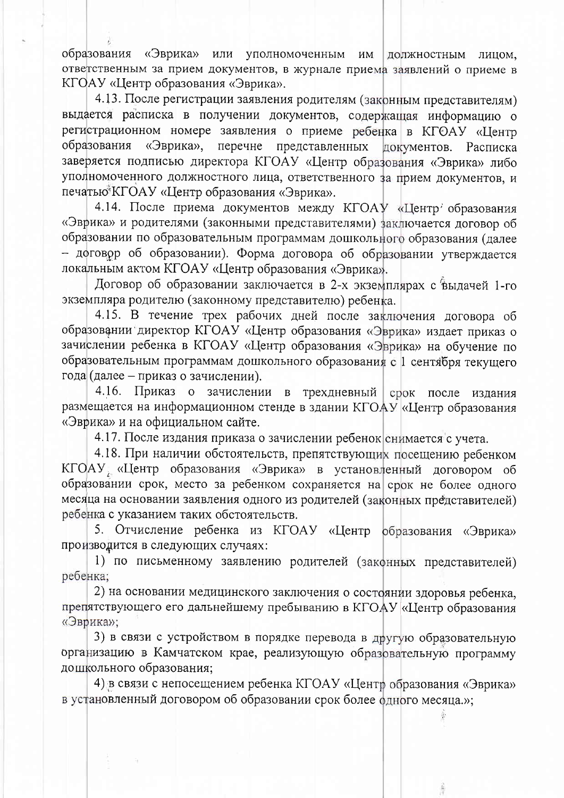образования «Эврика» или уполномоченным им должностным лицом, ответственным за прием документов, в журнале приема заявлений о приеме в КГОАУ «Центр образования «Эврика».

4.13. После регистрации заявления родителям (законным представителям) выдается расписка в получении документов, содержащая информацию о регистрационном номере заявления о приеме ребенка в КГОАУ «Центр «Эврика», перечне представленных документов. Расписка образования заверяется подписью директора КГОАУ «Центр образования «Эврика» либо уполномоченного должностного лица, ответственного за прием документов, и печатью<sup>®</sup>КГОАУ «Центр образования «Эврика».

4.14. После приема документов между КГОАУ «Центр' образования «Эврика» и родителями (законными представителями) заключается договор об образовании по образовательным программам дошкольного образования (далее - договор об образовании). Форма договора об образовании утверждается локальным актом КГОАУ «Центр образования «Эврика».

Договор об образовании заключается в 2-х экземплярах с выдачей 1-го экземпляра родителю (законному представителю) ребенка.

4.15. В течение трех рабочих дней после заключения договора об образовании директор КГОАУ «Центр образования «Эврика» издает приказ о зачислении ребенка в КГОАУ «Центр образования «Эврика» на обучение по образовательным программам дошкольного образования с 1 сентября текущего года (далее - приказ о зачислении).

4.16. Приказ о зачислении в трехдневный срок после издания размещается на информационном стенде в здании КГОАУ «Центр образования «Эврика» и на официальном сайте.

4.17. После издания приказа о зачислении ребенок снимается с учета.

4.18. При наличии обстоятельств, препятствующих посещению ребенком КГОАУ «Центр образования «Эврика» в установленный договором об образовании срок, место за ребенком сохраняется на срок не более одного месяца на основании заявления одного из родителей (законных представителей) ребенка с указанием таких обстоятельств.

5. Отчисление ребенка из КГОАУ «Центр образования «Эврика» производится в следующих случаях:

1) по письменному заявлению родителей (законных представителей) ребенка;

2) на основании медицинского заключения о состоянии здоровья ребенка, препятствующего его дальнейшему пребыванию в КГОАУ «Центр образования «Эврика»;

3) в связи с устройством в порядке перевода в другую образовательную организацию в Камчатском крае, реализующую образовательную программу дошкольного образования;

4) в связи с непосещением ребенка КГОАУ «Центр образования «Эврика» в установленный договором об образовании срок более одного месяца.»;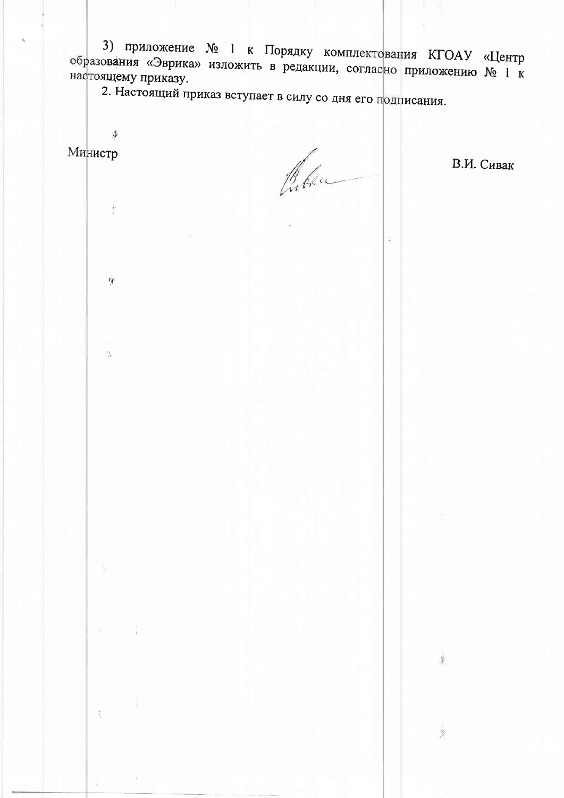3) приложение № 1 к Порядку комплектования КГОАУ «Центр образования «Эврика» изложить в редакции, согласно приложению № 1 к настоящему приказу.

2. Настоящий приказ вступает в силу со дня его подписания.

Министр

 $\frac{1}{2}$ 

 $\bar{X}$ 

 $\tau$ 

 $\mathcal{L}$ 

ŷ

Caken

 $\frac{1}{4}$ 

 $\frac{1}{2}$ 

В.И. Сивак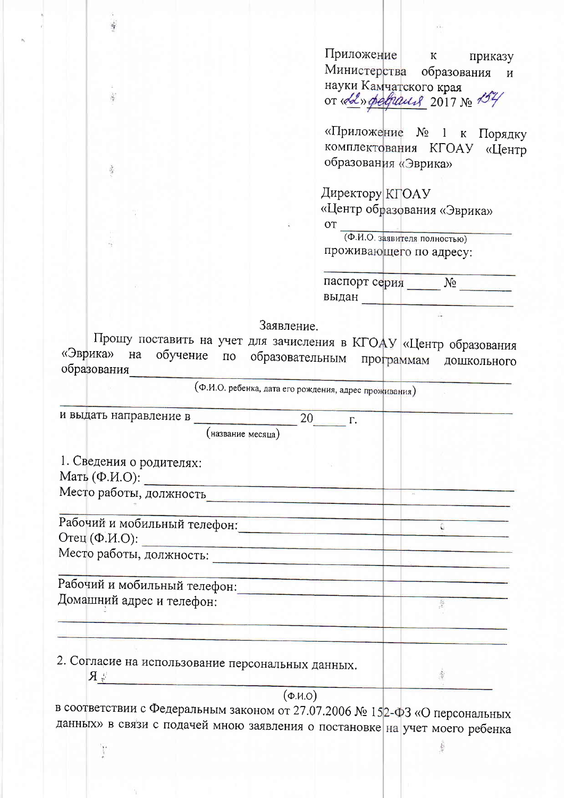Приложение  $K$ приказу Министерства образования и науки Камчатского края<br>от «сел» феврали 2017 № 154

«Приложение № 1 к Порядку комплектования КГОАУ «Центр образования «Эврика»

**Директору** КГОАУ «Центр образования «Эврика»

 $O<sub>T</sub>$ 

(Ф.И.О. заявителя полностью) проживающего по адресу:

| паспорт серия |  |
|---------------|--|
| выдан         |  |

泰

Заявление.

Прошу поставить на учет для зачисления в КГОАУ «Центр образования «Эврика» обучение по образовательным на программам дошкольного образования

| (Ф.И.О. ребенка, дата его рождения, адрес проживания)               |                      |  |
|---------------------------------------------------------------------|----------------------|--|
| и выдать направление в<br>20                                        | $\Gamma$ .           |  |
| название месяца)                                                    |                      |  |
| 1. Сведения о родителях:                                            |                      |  |
| Мать $(\Phi$ .И.О):                                                 |                      |  |
| Место работы, должность                                             |                      |  |
| Рабочий и мобильный телефон:                                        |                      |  |
|                                                                     |                      |  |
| Место работы, должность:                                            |                      |  |
| Рабочий и мобильный телефон:                                        |                      |  |
| Домашний адрес и телефон:                                           |                      |  |
|                                                                     |                      |  |
| 2. Согласие на использование персональных данных.<br>$\mathbb{R}$ R |                      |  |
| $(\Phi$ .И.О $)$                                                    |                      |  |
| $R$ COOTRATCTDUM $c$ (Dependix III) $\epsilon$ personals            | 27.07.2000110.178.35 |  |

в соответствии с Федеральным законом от 27.07.2006 № 152-ФЗ «О персональных данных» в связи с подачей мною заявления о постановке на учет моего ребенка

 $\ddot{\ddot{\phantom{a}}}$